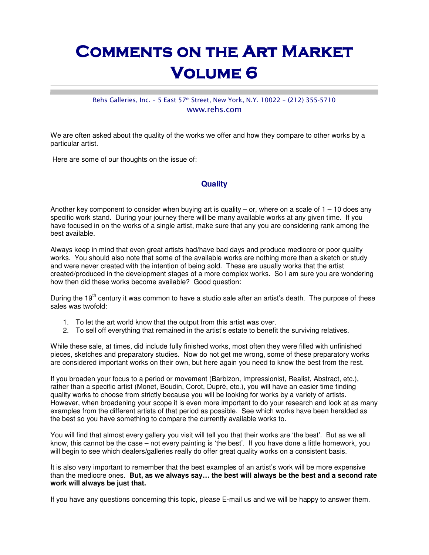# Comments on the Art Market **VOLUME 6**

### Rehs Galleries, Inc. - 5 East 57<sup>th</sup> Street, New York, N.Y. 10022 - (212) 355-5710 www.rehs.com

We are often asked about the quality of the works we offer and how they compare to other works by a particular artist.

Here are some of our thoughts on the issue of:

## **Quality**

Another key component to consider when buying art is quality  $-$  or, where on a scale of  $1 - 10$  does any specific work stand. During your journey there will be many available works at any given time. If you have focused in on the works of a single artist, make sure that any you are considering rank among the best available.

Always keep in mind that even great artists had/have bad days and produce mediocre or poor quality works. You should also note that some of the available works are nothing more than a sketch or study and were never created with the intention of being sold. These are usually works that the artist created/produced in the development stages of a more complex works. So I am sure you are wondering how then did these works become available? Good question:

During the 19<sup>th</sup> century it was common to have a studio sale after an artist's death. The purpose of these sales was twofold:

- 1. To let the art world know that the output from this artist was over.
- 2. To sell off everything that remained in the artist's estate to benefit the surviving relatives.

While these sale, at times, did include fully finished works, most often they were filled with unfinished pieces, sketches and preparatory studies. Now do not get me wrong, some of these preparatory works are considered important works on their own, but here again you need to know the best from the rest.

If you broaden your focus to a period or movement (Barbizon, Impressionist, Realist, Abstract, etc.), rather than a specific artist (Monet, Boudin, Corot, Dupré, etc.), you will have an easier time finding quality works to choose from strictly because you will be looking for works by a variety of artists. However, when broadening your scope it is even more important to do your research and look at as many examples from the different artists of that period as possible. See which works have been heralded as the best so you have something to compare the currently available works to.

You will find that almost every gallery you visit will tell you that their works are 'the best'. But as we all know, this cannot be the case – not every painting is 'the best'. If you have done a little homework, you will begin to see which dealers/galleries really do offer great quality works on a consistent basis.

It is also very important to remember that the best examples of an artist's work will be more expensive than the mediocre ones. **But, as we always say… the best will always be the best and a second rate work will always be just that.**

If you have any questions concerning this topic, please E-mail us and we will be happy to answer them.